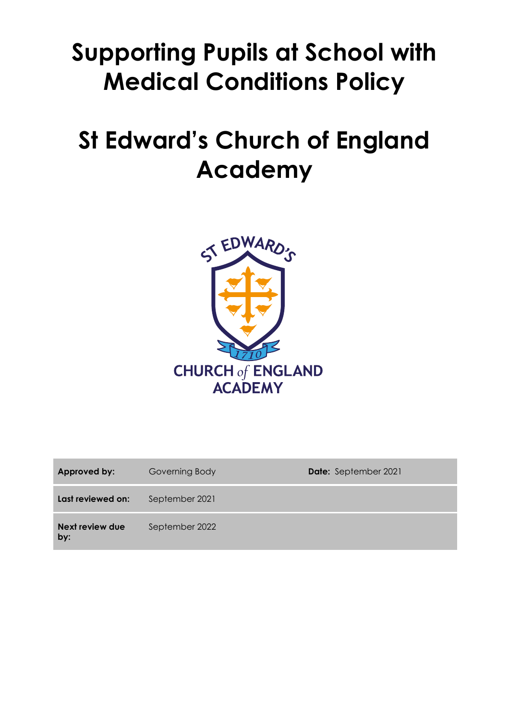# **Supporting Pupils at School with Medical Conditions Policy**

# **St Edward's Church of England Academy**



| Approved by:           | Governing Body | Date: September 2021 |
|------------------------|----------------|----------------------|
| Last reviewed on:      | September 2021 |                      |
| Next review due<br>by: | September 2022 |                      |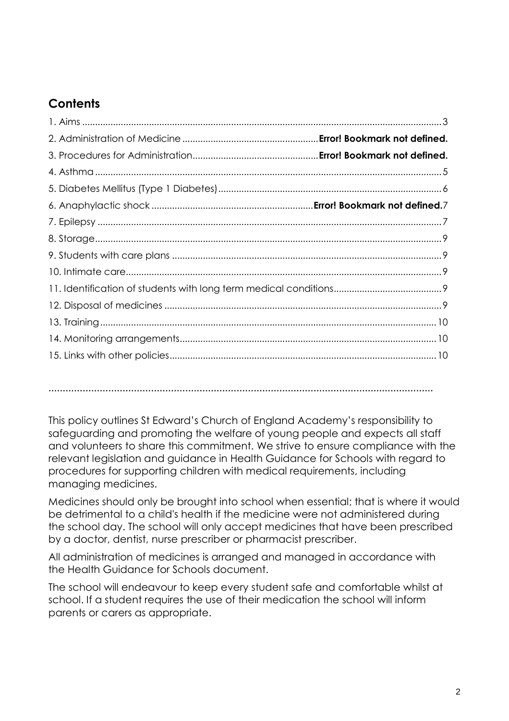# **Contents**

**………………………………………………………………………………………………………………………**

This policy outlines St Edward's Church of England Academy's responsibility to safeguarding and promoting the welfare of young people and expects all staff and volunteers to share this commitment. We strive to ensure compliance with the relevant legislation and guidance in Health Guidance for Schools with regard to procedures for supporting children with medical requirements, including managing medicines.

Medicines should only be brought into school when essential; that is where it would be detrimental to a child's health if the medicine were not administered during the school day. The school will only accept medicines that have been prescribed by a doctor, dentist, nurse prescriber or pharmacist prescriber.

All administration of medicines is arranged and managed in accordance with the Health Guidance for Schools document.

The school will endeavour to keep every student safe and comfortable whilst at school. If a student requires the use of their medication the school will inform parents or carers as appropriate.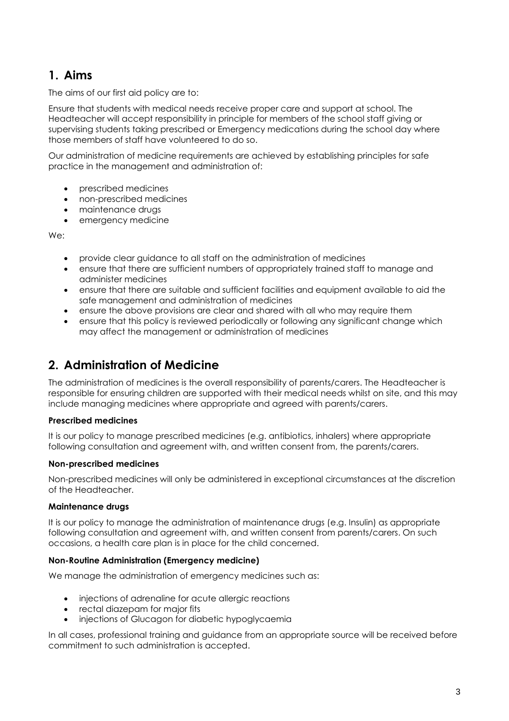# **1. Aims**

The aims of our first aid policy are to:

Ensure that students with medical needs receive proper care and support at school. The Headteacher will accept responsibility in principle for members of the school staff giving or supervising students taking prescribed or Emergency medications during the school day where those members of staff have volunteered to do so.

Our administration of medicine requirements are achieved by establishing principles for safe practice in the management and administration of:

- prescribed medicines
- non-prescribed medicines
- maintenance drugs
- emergency medicine

We:

- provide clear guidance to all staff on the administration of medicines
- ensure that there are sufficient numbers of appropriately trained staff to manage and administer medicines
- ensure that there are suitable and sufficient facilities and equipment available to aid the safe management and administration of medicines
- ensure the above provisions are clear and shared with all who may require them
- ensure that this policy is reviewed periodically or following any significant change which may affect the management or administration of medicines

# **2. Administration of Medicine**

The administration of medicines is the overall responsibility of parents/carers. The Headteacher is responsible for ensuring children are supported with their medical needs whilst on site, and this may include managing medicines where appropriate and agreed with parents/carers.

#### **Prescribed medicines**

It is our policy to manage prescribed medicines (e.g. antibiotics, inhalers) where appropriate following consultation and agreement with, and written consent from, the parents/carers.

#### **Non-prescribed medicines**

Non-prescribed medicines will only be administered in exceptional circumstances at the discretion of the Headteacher.

#### **Maintenance drugs**

It is our policy to manage the administration of maintenance drugs (e.g. Insulin) as appropriate following consultation and agreement with, and written consent from parents/carers. On such occasions, a health care plan is in place for the child concerned.

#### **Non-Routine Administration (Emergency medicine)**

We manage the administration of emergency medicines such as:

- injections of adrenaline for acute allergic reactions
- rectal diazepam for major fits
- injections of Glucagon for diabetic hypoglycaemia

In all cases, professional training and guidance from an appropriate source will be received before commitment to such administration is accepted.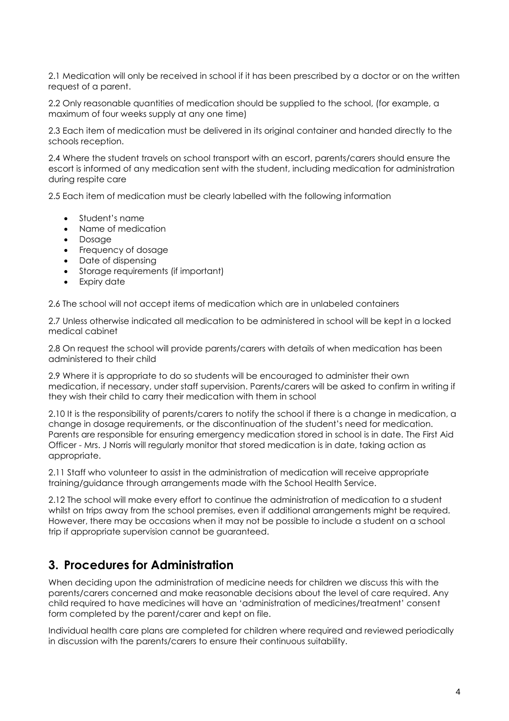2.1 Medication will only be received in school if it has been prescribed by a doctor or on the written request of a parent.

2.2 Only reasonable quantities of medication should be supplied to the school, (for example, a maximum of four weeks supply at any one time)

2.3 Each item of medication must be delivered in its original container and handed directly to the schools reception.

2.4 Where the student travels on school transport with an escort, parents/carers should ensure the escort is informed of any medication sent with the student, including medication for administration during respite care

2.5 Each item of medication must be clearly labelled with the following information

- Student's name
- Name of medication
- Dosage
- Frequency of dosage
- Date of dispensing
- Storage requirements (if important)
- Expiry date

2.6 The school will not accept items of medication which are in unlabeled containers

2.7 Unless otherwise indicated all medication to be administered in school will be kept in a locked medical cabinet

2.8 On request the school will provide parents/carers with details of when medication has been administered to their child

2.9 Where it is appropriate to do so students will be encouraged to administer their own medication, if necessary, under staff supervision. Parents/carers will be asked to confirm in writing if they wish their child to carry their medication with them in school

2.10 It is the responsibility of parents/carers to notify the school if there is a change in medication, a change in dosage requirements, or the discontinuation of the student's need for medication. Parents are responsible for ensuring emergency medication stored in school is in date. The First Aid Officer - Mrs. J Norris will regularly monitor that stored medication is in date, taking action as appropriate.

2.11 Staff who volunteer to assist in the administration of medication will receive appropriate training/guidance through arrangements made with the School Health Service.

2.12 The school will make every effort to continue the administration of medication to a student whilst on trips away from the school premises, even if additional arrangements might be required. However, there may be occasions when it may not be possible to include a student on a school trip if appropriate supervision cannot be guaranteed.

## **3. Procedures for Administration**

When deciding upon the administration of medicine needs for children we discuss this with the parents/carers concerned and make reasonable decisions about the level of care required. Any child required to have medicines will have an 'administration of medicines/treatment' consent form completed by the parent/carer and kept on file.

Individual health care plans are completed for children where required and reviewed periodically in discussion with the parents/carers to ensure their continuous suitability.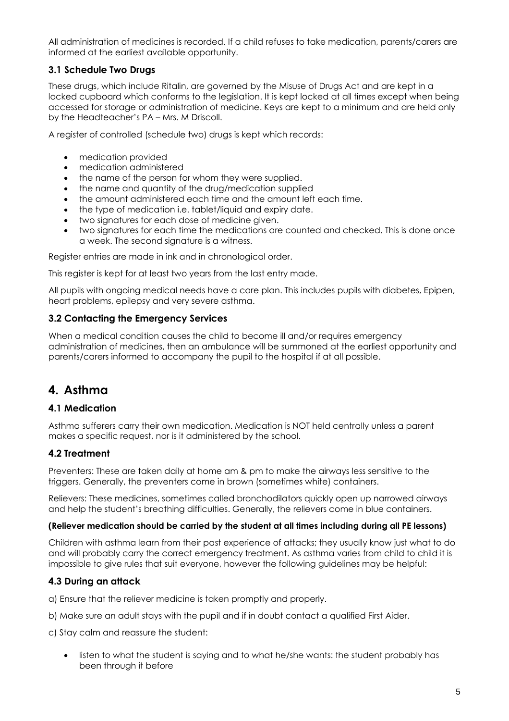All administration of medicines is recorded. If a child refuses to take medication, parents/carers are informed at the earliest available opportunity.

## **3.1 Schedule Two Drugs**

These drugs, which include Ritalin, are governed by the Misuse of Drugs Act and are kept in a locked cupboard which conforms to the legislation. It is kept locked at all times except when being accessed for storage or administration of medicine. Keys are kept to a minimum and are held only by the Headteacher's PA – Mrs. M Driscoll.

A register of controlled (schedule two) drugs is kept which records:

- medication provided
- medication administered
- the name of the person for whom they were supplied.
- the name and quantity of the drug/medication supplied
- the amount administered each time and the amount left each time.
- the type of medication i.e. tablet/liquid and expiry date.
- two signatures for each dose of medicine given.
- two signatures for each time the medications are counted and checked. This is done once a week. The second signature is a witness.

Register entries are made in ink and in chronological order.

This register is kept for at least two years from the last entry made.

All pupils with ongoing medical needs have a care plan. This includes pupils with diabetes, Epipen, heart problems, epilepsy and very severe asthma.

## **3.2 Contacting the Emergency Services**

When a medical condition causes the child to become ill and/or requires emergency administration of medicines, then an ambulance will be summoned at the earliest opportunity and parents/carers informed to accompany the pupil to the hospital if at all possible.

# **4. Asthma**

## **4.1 Medication**

Asthma sufferers carry their own medication. Medication is NOT held centrally unless a parent makes a specific request, nor is it administered by the school.

## **4.2 Treatment**

Preventers: These are taken daily at home am & pm to make the airways less sensitive to the triggers. Generally, the preventers come in brown (sometimes white) containers.

Relievers: These medicines, sometimes called bronchodilators quickly open up narrowed airways and help the student's breathing difficulties. Generally, the relievers come in blue containers.

#### **(Reliever medication should be carried by the student at all times including during all PE lessons)**

Children with asthma learn from their past experience of attacks; they usually know just what to do and will probably carry the correct emergency treatment. As asthma varies from child to child it is impossible to give rules that suit everyone, however the following guidelines may be helpful:

## **4.3 During an attack**

a) Ensure that the reliever medicine is taken promptly and properly.

b) Make sure an adult stays with the pupil and if in doubt contact a qualified First Aider.

c) Stay calm and reassure the student:

• listen to what the student is saying and to what he/she wants: the student probably has been through it before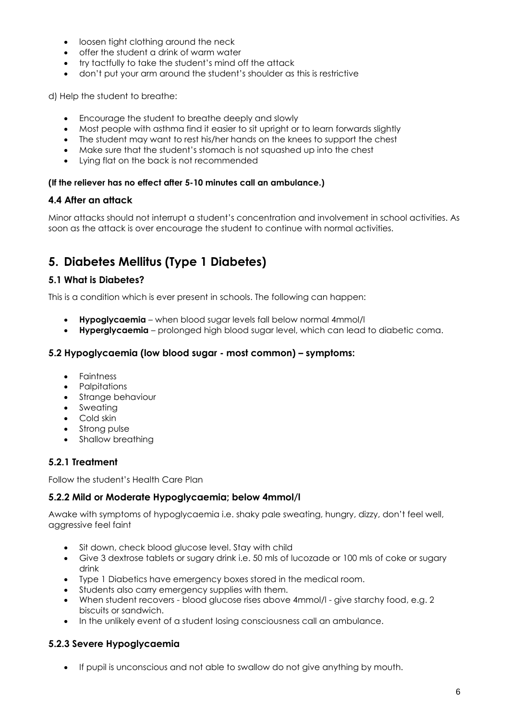- loosen tight clothing around the neck
- offer the student a drink of warm water
- try tactfully to take the student's mind off the attack
- don't put your arm around the student's shoulder as this is restrictive

d) Help the student to breathe:

- Encourage the student to breathe deeply and slowly
- Most people with asthma find it easier to sit upright or to learn forwards slightly
- The student may want to rest his/her hands on the knees to support the chest
- Make sure that the student's stomach is not squashed up into the chest
- Lying flat on the back is not recommended

#### **(If the reliever has no effect after 5-10 minutes call an ambulance.)**

#### **4.4 After an attack**

Minor attacks should not interrupt a student's concentration and involvement in school activities. As soon as the attack is over encourage the student to continue with normal activities.

# **5. Diabetes Mellitus (Type 1 Diabetes)**

#### **5.1 What is Diabetes?**

This is a condition which is ever present in schools. The following can happen:

- **Hypoglycaemia** when blood sugar levels fall below normal 4mmol/l
- **Hyperglycaemia** prolonged high blood sugar level, which can lead to diabetic coma.

#### **5.2 Hypoglycaemia (low blood sugar - most common) – symptoms:**

- Faintness
- Palpitations
- Strange behaviour
- Sweating
- Cold skin
- Strong pulse
- Shallow breathing

## **5.2.1 Treatment**

Follow the student's Health Care Plan

## **5.2.2 Mild or Moderate Hypoglycaemia; below 4mmol/l**

Awake with symptoms of hypoglycaemia i.e. shaky pale sweating, hungry, dizzy, don't feel well, aggressive feel faint

- Sit down, check blood glucose level. Stay with child
- Give 3 dextrose tablets or sugary drink i.e. 50 mls of lucozade or 100 mls of coke or sugary drink
- Type 1 Diabetics have emergency boxes stored in the medical room.
- Students also carry emergency supplies with them.
- When student recovers blood glucose rises above 4mmol/l give starchy food, e.g. 2 biscuits or sandwich.
- In the unlikely event of a student losing consciousness call an ambulance.

## **5.2.3 Severe Hypoglycaemia**

• If pupil is unconscious and not able to swallow do not give anything by mouth.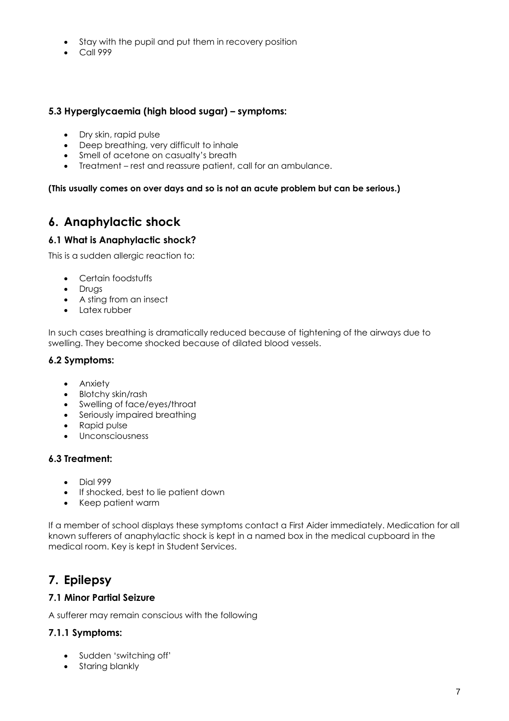- Stay with the pupil and put them in recovery position
- Call 999

#### **5.3 Hyperglycaemia (high blood sugar) – symptoms:**

- Dry skin, rapid pulse
- Deep breathing, very difficult to inhale
- Smell of acetone on casualty's breath
- Treatment rest and reassure patient, call for an ambulance.

#### **(This usually comes on over days and so is not an acute problem but can be serious.)**

# **6. Anaphylactic shock**

#### **6.1 What is Anaphylactic shock?**

This is a sudden allergic reaction to:

- Certain foodstuffs
- Drugs
- A sting from an insect
- Latex rubber

In such cases breathing is dramatically reduced because of tightening of the airways due to swelling. They become shocked because of dilated blood vessels.

#### **6.2 Symptoms:**

- Anxiety
- Blotchy skin/rash
- Swelling of face/eyes/throat
- Seriously impaired breathing
- Rapid pulse
- Unconsciousness

#### **6.3 Treatment:**

- Dial 999
- If shocked, best to lie patient down
- Keep patient warm

If a member of school displays these symptoms contact a First Aider immediately. Medication for all known sufferers of anaphylactic shock is kept in a named box in the medical cupboard in the medical room. Key is kept in Student Services.

# **7. Epilepsy**

#### **7.1 Minor Partial Seizure**

A sufferer may remain conscious with the following

## **7.1.1 Symptoms:**

- Sudden 'switching off'
- Staring blankly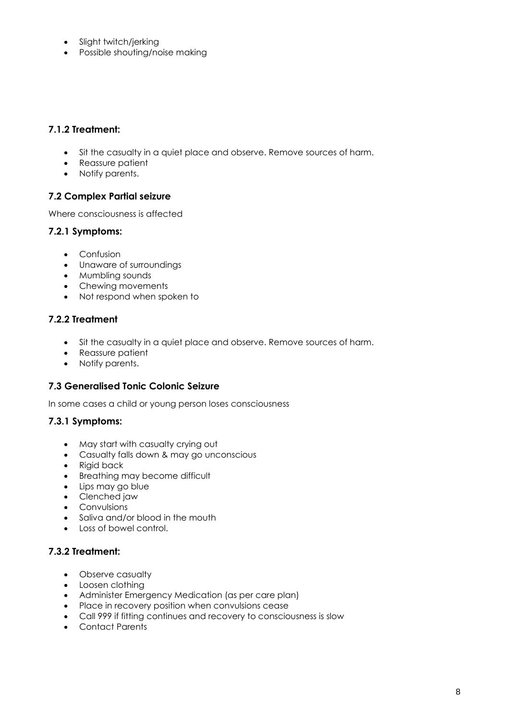- Slight twitch/jerking
- Possible shouting/noise making

## **7.1.2 Treatment:**

- Sit the casualty in a quiet place and observe. Remove sources of harm.
- Reassure patient
- Notify parents.

## **7.2 Complex Partial seizure**

Where consciousness is affected

#### **7.2.1 Symptoms:**

- Confusion
- Unaware of surroundings
- Mumbling sounds
- Chewing movements
- Not respond when spoken to

#### **7.2.2 Treatment**

- Sit the casualty in a quiet place and observe. Remove sources of harm.
- Reassure patient
- Notify parents.

#### **7.3 Generalised Tonic Colonic Seizure**

In some cases a child or young person loses consciousness

## **7.3.1 Symptoms:**

- May start with casualty crying out
- Casualty falls down & may go unconscious
- Rigid back
- Breathing may become difficult
- Lips may go blue
- Clenched jaw
- Convulsions
- Saliva and/or blood in the mouth
- Loss of bowel control.

## **7.3.2 Treatment:**

- Observe casualty
- Loosen clothing
- Administer Emergency Medication (as per care plan)
- Place in recovery position when convulsions cease
- Call 999 if fitting continues and recovery to consciousness is slow
- Contact Parents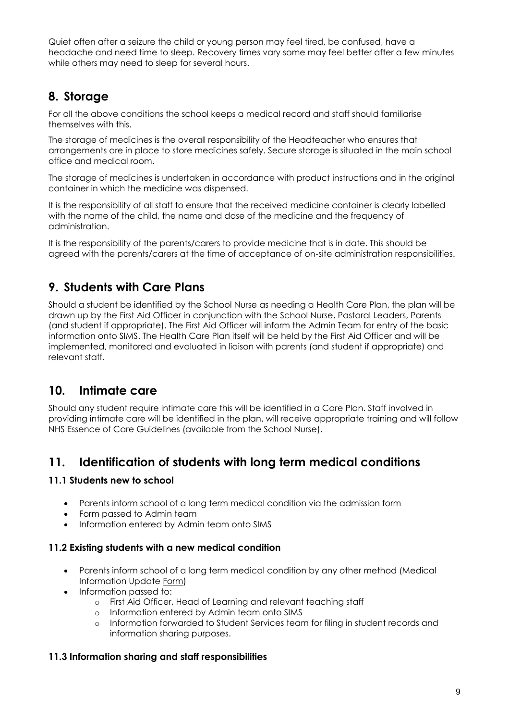Quiet often after a seizure the child or young person may feel tired, be confused, have a headache and need time to sleep. Recovery times vary some may feel better after a few minutes while others may need to sleep for several hours.

# **8. Storage**

For all the above conditions the school keeps a medical record and staff should familiarise themselves with this.

The storage of medicines is the overall responsibility of the Headteacher who ensures that arrangements are in place to store medicines safely. Secure storage is situated in the main school office and medical room.

The storage of medicines is undertaken in accordance with product instructions and in the original container in which the medicine was dispensed.

It is the responsibility of all staff to ensure that the received medicine container is clearly labelled with the name of the child, the name and dose of the medicine and the frequency of administration.

It is the responsibility of the parents/carers to provide medicine that is in date. This should be agreed with the parents/carers at the time of acceptance of on-site administration responsibilities.

# **9. Students with Care Plans**

Should a student be identified by the School Nurse as needing a Health Care Plan, the plan will be drawn up by the First Aid Officer in conjunction with the School Nurse, Pastoral Leaders, Parents (and student if appropriate). The First Aid Officer will inform the Admin Team for entry of the basic information onto SIMS. The Health Care Plan itself will be held by the First Aid Officer and will be implemented, monitored and evaluated in liaison with parents (and student if appropriate) and relevant staff.

# **10. Intimate care**

Should any student require intimate care this will be identified in a Care Plan. Staff involved in providing intimate care will be identified in the plan, will receive appropriate training and will follow NHS Essence of Care Guidelines (available from the School Nurse).

# **11. Identification of students with long term medical conditions**

## **11.1 Students new to school**

- Parents inform school of a long term medical condition via the admission form
- Form passed to Admin team
- Information entered by Admin team onto SIMS

## **11.2 Existing students with a new medical condition**

- Parents inform school of a long term medical condition by any other method (Medical Information Update Form)
- Information passed to:
	- o First Aid Officer, Head of Learning and relevant teaching staff
	- o Information entered by Admin team onto SIMS
	- o Information forwarded to Student Services team for filing in student records and information sharing purposes.

## **11.3 Information sharing and staff responsibilities**